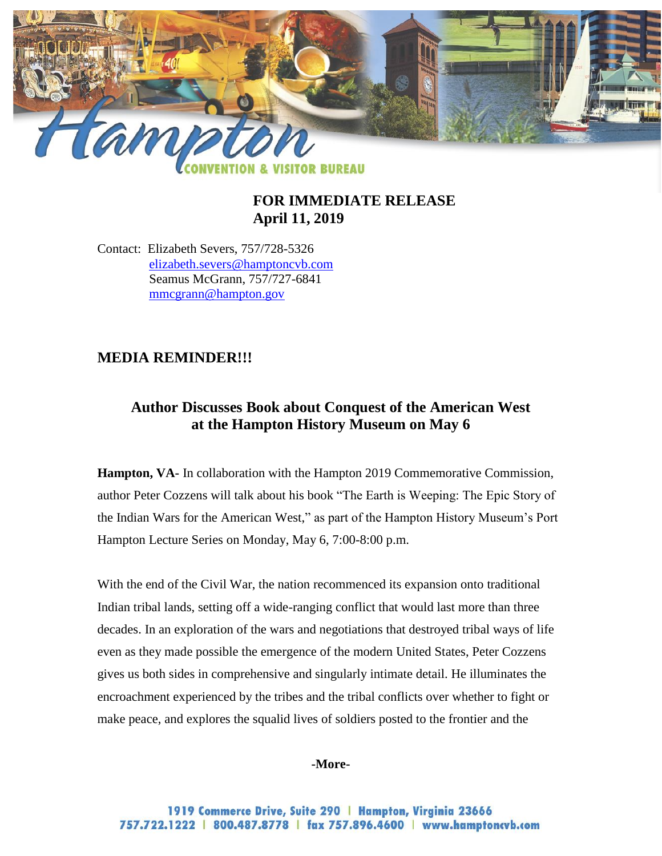

## **FOR IMMEDIATE RELEASE April 11, 2019**

Contact: Elizabeth Severs, 757/728-5326 elizabeth.severs@hamptoncvb.com Seamus McGrann, 757/727-6841 [mmcgrann@hampton.gov](mailto:mmcgrann@hampton.gov)

# **MEDIA REMINDER!!!**

# **Author Discusses Book about Conquest of the American West at the Hampton History Museum on May 6**

**Hampton, VA-** In collaboration with the Hampton 2019 Commemorative Commission, author Peter Cozzens will talk about his book "The Earth is Weeping: The Epic Story of the Indian Wars for the American West," as part of the Hampton History Museum's Port Hampton Lecture Series on Monday, May 6, 7:00-8:00 p.m.

With the end of the Civil War, the nation recommenced its expansion onto traditional Indian tribal lands, setting off a wide-ranging conflict that would last more than three decades. In an exploration of the wars and negotiations that destroyed tribal ways of life even as they made possible the emergence of the modern United States, Peter Cozzens gives us both sides in comprehensive and singularly intimate detail. He illuminates the encroachment experienced by the tribes and the tribal conflicts over whether to fight or make peace, and explores the squalid lives of soldiers posted to the frontier and the

#### **-More-**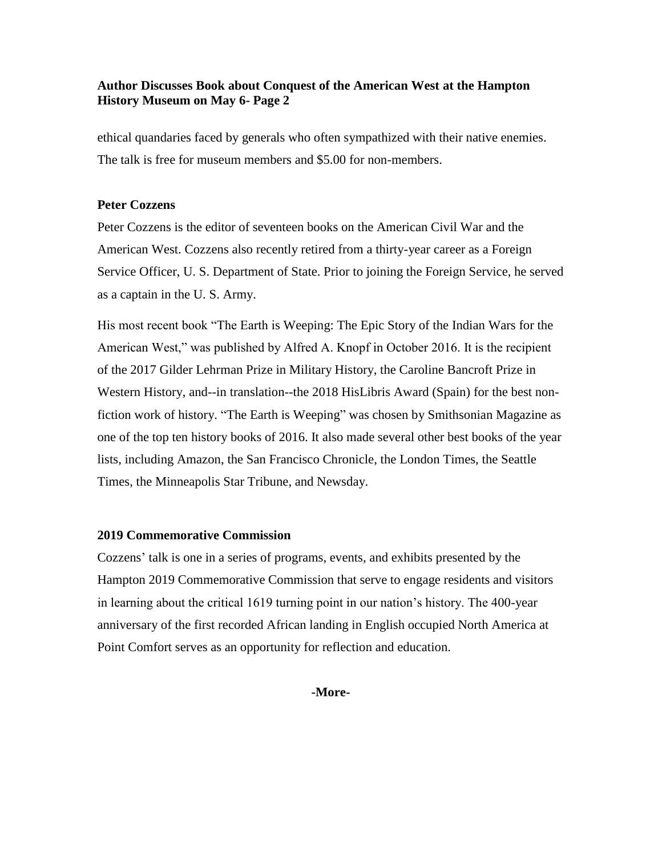## **Author Discusses Book about Conquest of the American West at the Hampton History Museum on May 6- Page 2**

ethical quandaries faced by generals who often sympathized with their native enemies. The talk is free for museum members and \$5.00 for non-members.

#### **Peter Cozzens**

Peter Cozzens is the editor of seventeen books on the American Civil War and the American West. Cozzens also recently retired from a thirty-year career as a Foreign Service Officer, U. S. Department of State. Prior to joining the Foreign Service, he served as a captain in the U. S. Army.

His most recent book "The Earth is Weeping: The Epic Story of the Indian Wars for the American West," was published by Alfred A. Knopf in October 2016. It is the recipient of the 2017 Gilder Lehrman Prize in Military History, the Caroline Bancroft Prize in Western History, and--in translation--the 2018 HisLibris Award (Spain) for the best nonfiction work of history. "The Earth is Weeping" was chosen by Smithsonian Magazine as one of the top ten history books of 2016. It also made several other best books of the year lists, including Amazon, the San Francisco Chronicle, the London Times, the Seattle Times, the Minneapolis Star Tribune, and Newsday.

#### **2019 Commemorative Commission**

Cozzens' talk is one in a series of programs, events, and exhibits presented by the Hampton 2019 Commemorative Commission that serve to engage residents and visitors in learning about the critical 1619 turning point in our nation's history. The 400-year anniversary of the first recorded African landing in English occupied North America at Point Comfort serves as an opportunity for reflection and education.

**-More-**